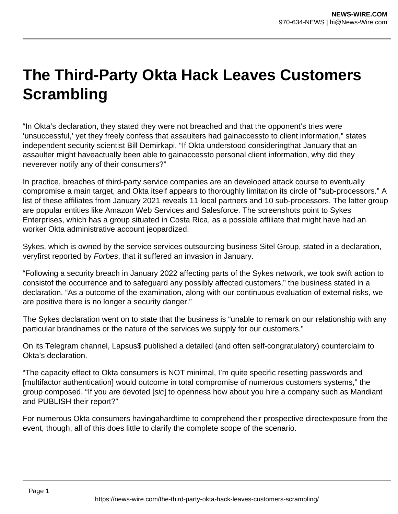## **The Third-Party Okta Hack Leaves Customers Scrambling**

"In Okta's declaration, they stated they were not breached and that the opponent's tries were 'unsuccessful,' yet they freely confess that assaulters had gainaccessto to client information," states independent security scientist Bill Demirkapi. "If Okta understood consideringthat January that an assaulter might haveactually been able to gainaccessto personal client information, why did they neverever notify any of their consumers?"

In practice, breaches of third-party service companies are an developed attack course to eventually compromise a main target, and Okta itself appears to thoroughly limitation its circle of "sub-processors." A list of these affiliates from January 2021 reveals 11 local partners and 10 sub-processors. The latter group are popular entities like Amazon Web Services and Salesforce. The screenshots point to Sykes Enterprises, which has a group situated in Costa Rica, as a possible affiliate that might have had an worker Okta administrative account jeopardized.

Sykes, which is owned by the service services outsourcing business Sitel Group, stated in a declaration, veryfirst reported by Forbes, that it suffered an invasion in January.

"Following a security breach in January 2022 affecting parts of the Sykes network, we took swift action to consistof the occurrence and to safeguard any possibly affected customers," the business stated in a declaration. "As a outcome of the examination, along with our continuous evaluation of external risks, we are positive there is no longer a security danger."

The Sykes declaration went on to state that the business is "unable to remark on our relationship with any particular brandnames or the nature of the services we supply for our customers."

On its Telegram channel, Lapsus\$ published a detailed (and often self-congratulatory) counterclaim to Okta's declaration.

"The capacity effect to Okta consumers is NOT minimal, I'm quite specific resetting passwords and [multifactor authentication] would outcome in total compromise of numerous customers systems," the group composed. "If you are devoted [sic] to openness how about you hire a company such as Mandiant and PUBLISH their report?"

For numerous Okta consumers havingahardtime to comprehend their prospective directexposure from the event, though, all of this does little to clarify the complete scope of the scenario.